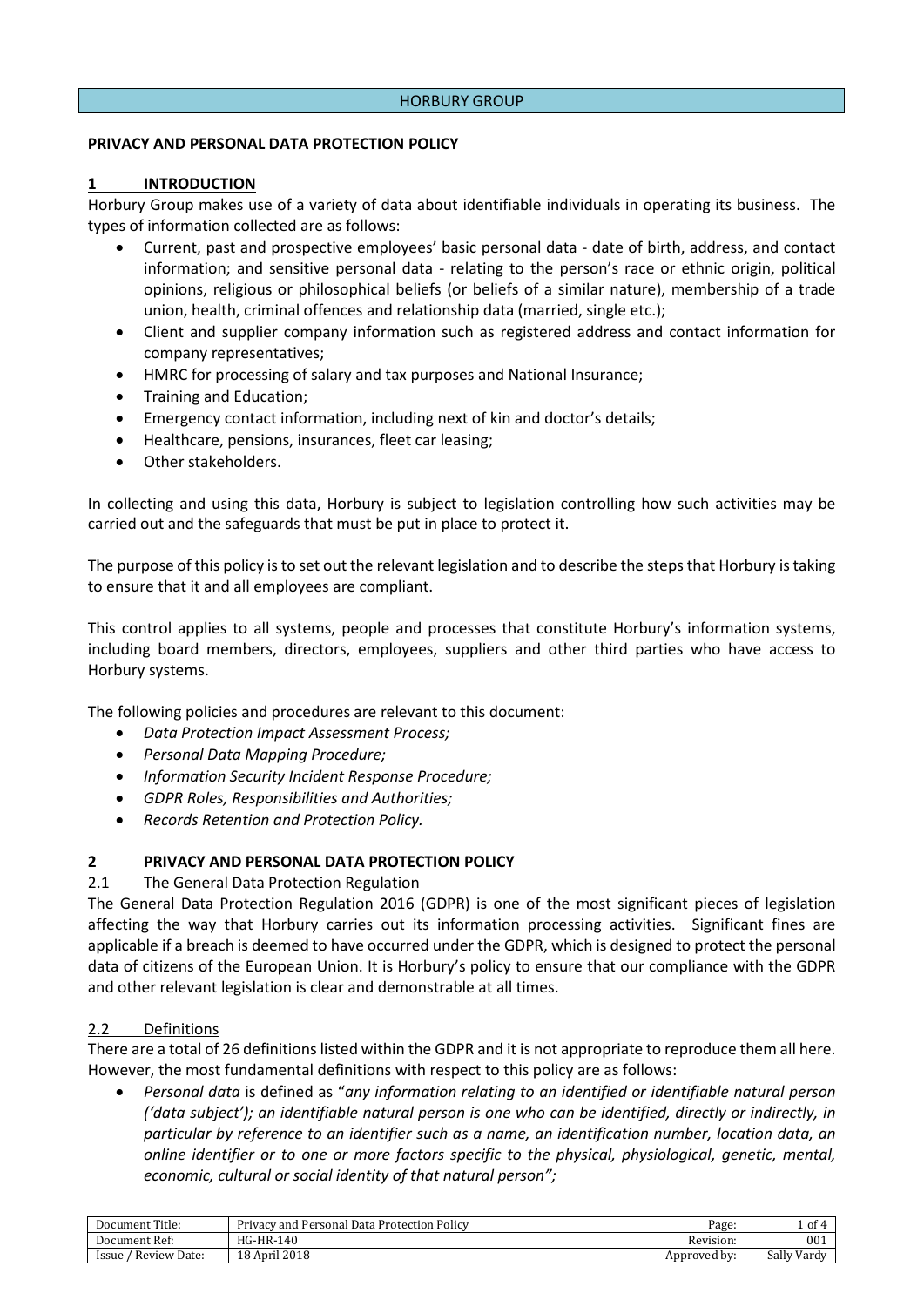#### HORBURY GROUP

### **PRIVACY AND PERSONAL DATA PROTECTION POLICY**

## **1 INTRODUCTION**

Horbury Group makes use of a variety of data about identifiable individuals in operating its business. The types of information collected are as follows:

- Current, past and prospective employees' basic personal data date of birth, address, and contact information; and sensitive personal data - relating to the person's race or ethnic origin, political opinions, religious or philosophical beliefs (or beliefs of a similar nature), membership of a trade union, health, criminal offences and relationship data (married, single etc.);
- Client and supplier company information such as registered address and contact information for company representatives;
- HMRC for processing of salary and tax purposes and National Insurance;
- Training and Education;
- Emergency contact information, including next of kin and doctor's details;
- Healthcare, pensions, insurances, fleet car leasing;
- Other stakeholders.

In collecting and using this data, Horbury is subject to legislation controlling how such activities may be carried out and the safeguards that must be put in place to protect it.

The purpose of this policy is to set out the relevant legislation and to describe the steps that Horbury is taking to ensure that it and all employees are compliant.

This control applies to all systems, people and processes that constitute Horbury's information systems, including board members, directors, employees, suppliers and other third parties who have access to Horbury systems.

The following policies and procedures are relevant to this document:

- *Data Protection Impact Assessment Process;*
- *Personal Data Mapping Procedure;*
- *Information Security Incident Response Procedure;*
- *GDPR Roles, Responsibilities and Authorities;*
- *Records Retention and Protection Policy.*

### **2 PRIVACY AND PERSONAL DATA PROTECTION POLICY**

### 2.1 The General Data Protection Regulation

The General Data Protection Regulation 2016 (GDPR) is one of the most significant pieces of legislation affecting the way that Horbury carries out its information processing activities. Significant fines are applicable if a breach is deemed to have occurred under the GDPR, which is designed to protect the personal data of citizens of the European Union. It is Horbury's policy to ensure that our compliance with the GDPR and other relevant legislation is clear and demonstrable at all times.

### 2.2 Definitions

There are a total of 26 definitions listed within the GDPR and it is not appropriate to reproduce them all here. However, the most fundamental definitions with respect to this policy are as follows:

• *Personal data* is defined as "*any information relating to an identified or identifiable natural person ('data subject'); an identifiable natural person is one who can be identified, directly or indirectly, in particular by reference to an identifier such as a name, an identification number, location data, an online identifier or to one or more factors specific to the physical, physiological, genetic, mental, economic, cultural or social identity of that natural person";*

| Title:<br>Document :  | a Protection Policy.<br>Personal Data<br>$\sim$ $\sim$<br>Privacy and | Page:        | 1 of        |
|-----------------------|-----------------------------------------------------------------------|--------------|-------------|
| Document Ref:         | HG-HR-140                                                             | Revision:    | 001         |
| Review Date:<br>Issue | 18 April 2018                                                         | Approved by: | Sally Vardy |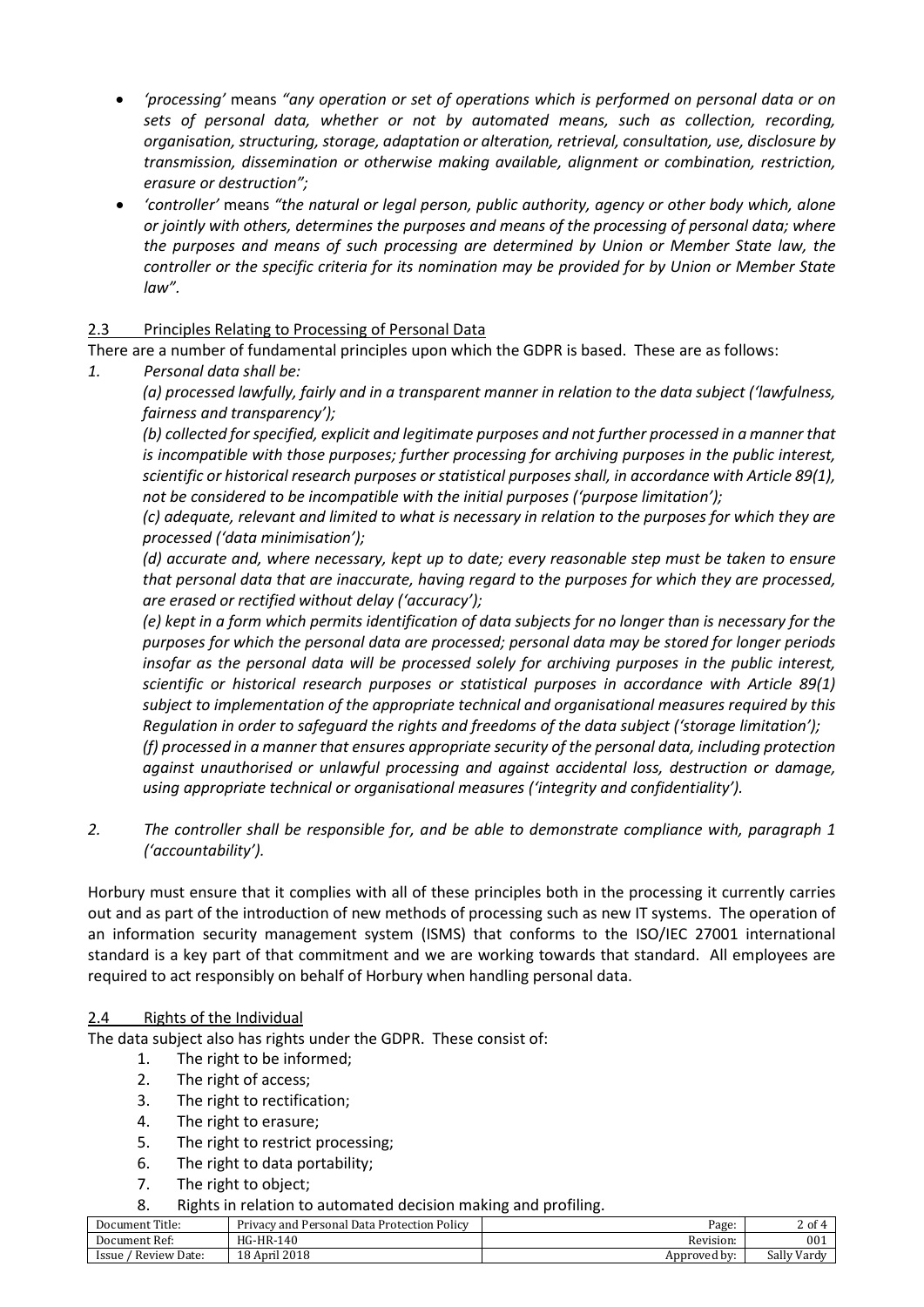- *'processing'* means *"any operation or set of operations which is performed on personal data or on sets of personal data, whether or not by automated means, such as collection, recording, organisation, structuring, storage, adaptation or alteration, retrieval, consultation, use, disclosure by transmission, dissemination or otherwise making available, alignment or combination, restriction, erasure or destruction";*
- *'controller'* means *"the natural or legal person, public authority, agency or other body which, alone or jointly with others, determines the purposes and means of the processing of personal data; where the purposes and means of such processing are determined by Union or Member State law, the controller or the specific criteria for its nomination may be provided for by Union or Member State law".*

# 2.3 Principles Relating to Processing of Personal Data

There are a number of fundamental principles upon which the GDPR is based. These are as follows:

*1. Personal data shall be:*

*(a) processed lawfully, fairly and in a transparent manner in relation to the data subject ('lawfulness, fairness and transparency');*

*(b) collected for specified, explicit and legitimate purposes and not further processed in a manner that is incompatible with those purposes; further processing for archiving purposes in the public interest, scientific or historical research purposes or statistical purposes shall, in accordance with Article 89(1), not be considered to be incompatible with the initial purposes ('purpose limitation');*

*(c) adequate, relevant and limited to what is necessary in relation to the purposes for which they are processed ('data minimisation');*

*(d) accurate and, where necessary, kept up to date; every reasonable step must be taken to ensure that personal data that are inaccurate, having regard to the purposes for which they are processed, are erased or rectified without delay ('accuracy');*

*(e) kept in a form which permits identification of data subjects for no longer than is necessary for the purposes for which the personal data are processed; personal data may be stored for longer periods insofar as the personal data will be processed solely for archiving purposes in the public interest, scientific or historical research purposes or statistical purposes in accordance with Article 89(1) subject to implementation of the appropriate technical and organisational measures required by this Regulation in order to safeguard the rights and freedoms of the data subject ('storage limitation'); (f) processed in a manner that ensures appropriate security of the personal data, including protection against unauthorised or unlawful processing and against accidental loss, destruction or damage, using appropriate technical or organisational measures ('integrity and confidentiality').*

*2. The controller shall be responsible for, and be able to demonstrate compliance with, paragraph 1 ('accountability').*

Horbury must ensure that it complies with all of these principles both in the processing it currently carries out and as part of the introduction of new methods of processing such as new IT systems. The operation of an information security management system (ISMS) that conforms to the ISO/IEC 27001 international standard is a key part of that commitment and we are working towards that standard. All employees are required to act responsibly on behalf of Horbury when handling personal data.

### 2.4 Rights of the Individual

The data subject also has rights under the GDPR. These consist of:

- 1. The right to be informed;
- 2. The right of access;
- 3. The right to rectification;
- 4. The right to erasure;
- 5. The right to restrict processing;
- 6. The right to data portability;
- 7. The right to object;
- 8. Rights in relation to automated decision making and profiling.

| Title:<br>Document    | ' Data<br>Policy<br>Privacy and Personal<br>ا Protection | Page:        | $\angle$ of $\ell$ |
|-----------------------|----------------------------------------------------------|--------------|--------------------|
| Ref:<br>Document      | <b>HG-HR-140</b>                                         | Revision:    | 001                |
| Review Date:<br>Issue | 3 April 2018<br>18                                       | Approved by: | Sally Vardy        |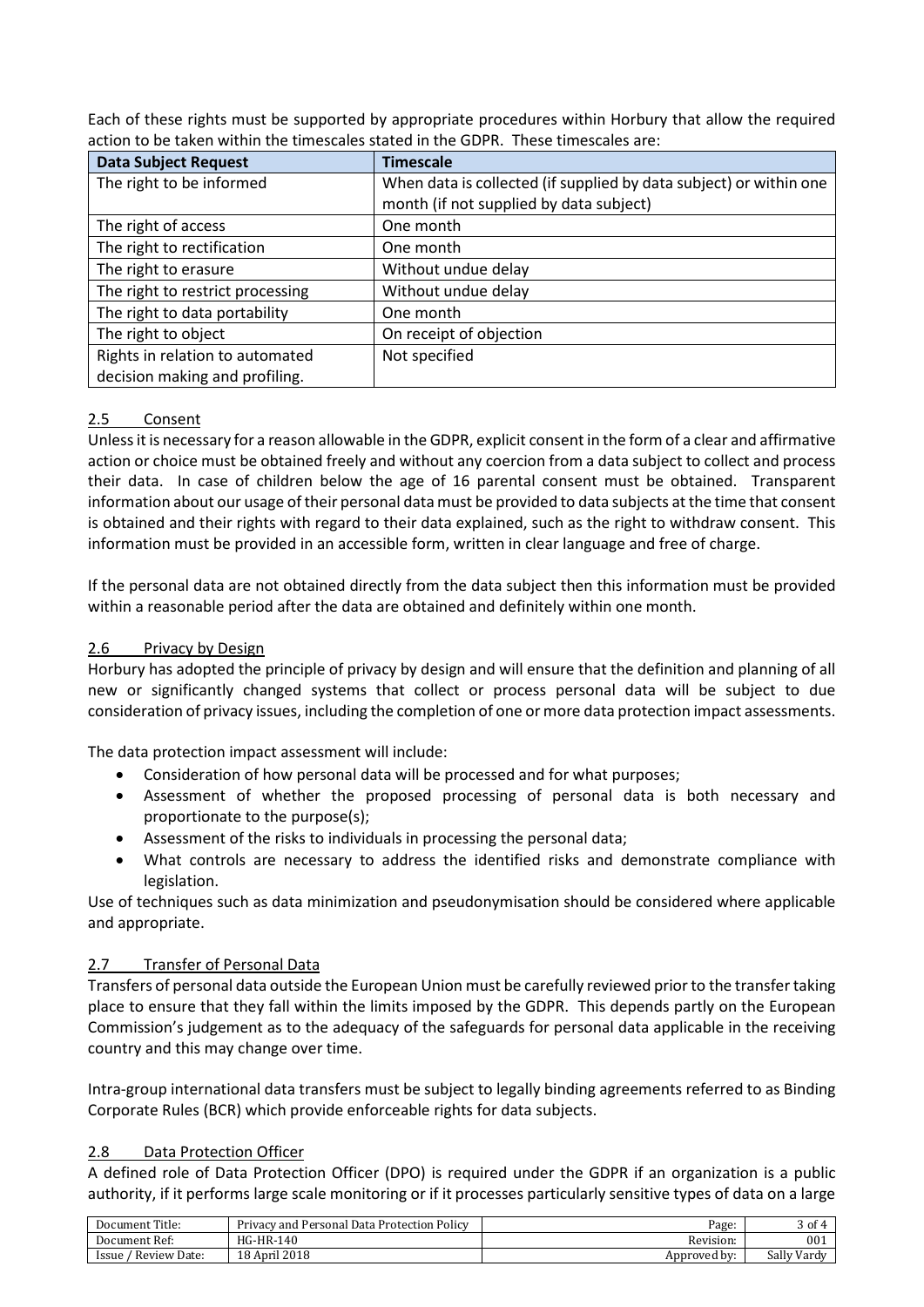| <b>Data Subject Request</b>      | <b>Timescale</b>                                                   |
|----------------------------------|--------------------------------------------------------------------|
| The right to be informed         | When data is collected (if supplied by data subject) or within one |
|                                  | month (if not supplied by data subject)                            |
| The right of access              | One month                                                          |
| The right to rectification       | One month                                                          |
| The right to erasure             | Without undue delay                                                |
| The right to restrict processing | Without undue delay                                                |
| The right to data portability    | One month                                                          |
| The right to object              | On receipt of objection                                            |
| Rights in relation to automated  | Not specified                                                      |
| decision making and profiling.   |                                                                    |

Each of these rights must be supported by appropriate procedures within Horbury that allow the required action to be taken within the timescales stated in the GDPR. These timescales are:

# 2.5 Consent

Unless it is necessary for a reason allowable in the GDPR, explicit consent in the form of a clear and affirmative action or choice must be obtained freely and without any coercion from a data subject to collect and process their data. In case of children below the age of 16 parental consent must be obtained. Transparent information about our usage of their personal data must be provided to data subjects at the time that consent is obtained and their rights with regard to their data explained, such as the right to withdraw consent. This information must be provided in an accessible form, written in clear language and free of charge.

If the personal data are not obtained directly from the data subject then this information must be provided within a reasonable period after the data are obtained and definitely within one month.

#### 2.6 Privacy by Design

Horbury has adopted the principle of privacy by design and will ensure that the definition and planning of all new or significantly changed systems that collect or process personal data will be subject to due consideration of privacy issues, including the completion of one or more data protection impact assessments.

The data protection impact assessment will include:

- Consideration of how personal data will be processed and for what purposes;
- Assessment of whether the proposed processing of personal data is both necessary and proportionate to the purpose(s);
- Assessment of the risks to individuals in processing the personal data;
- What controls are necessary to address the identified risks and demonstrate compliance with legislation.

Use of techniques such as data minimization and pseudonymisation should be considered where applicable and appropriate.

### 2.7 Transfer of Personal Data

Transfers of personal data outside the European Union must be carefully reviewed prior to the transfer taking place to ensure that they fall within the limits imposed by the GDPR. This depends partly on the European Commission's judgement as to the adequacy of the safeguards for personal data applicable in the receiving country and this may change over time.

Intra-group international data transfers must be subject to legally binding agreements referred to as Binding Corporate Rules (BCR) which provide enforceable rights for data subjects.

### 2.8 Data Protection Officer

A defined role of Data Protection Officer (DPO) is required under the GDPR if an organization is a public authority, if it performs large scale monitoring or if it processes particularly sensitive types of data on a large

| Title:<br>Document '  | Personal Data Protection Policy ،<br>Privacy and. | Page:        | 3 of 4      |
|-----------------------|---------------------------------------------------|--------------|-------------|
| Document Ref:         | HG-HR-140                                         | Revision:    | 001         |
| Review Date:<br>Issue | 18 April 2018                                     | Approved by: | Sally Vardy |